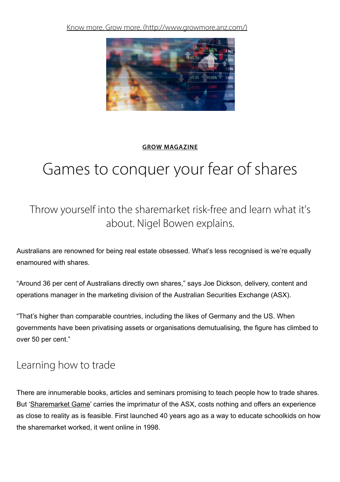Know more. Grow more. [\(http://www.growmore.anz.com/\)](http://www.growmore.anz.com/)



#### GROW [MAGAZINE](http://www.growmore.anz.com/content/grow-more/en/featured)

# Games to conquer your fear of shares

Throw yourself into the sharemarket risk-free and learn what it's about. Nigel Bowen explains.

Australians are renowned for being real estate obsessed. What's less recognised is we're equally enamoured with shares.

"Around 36 per cent of Australians directly own shares," says Joe Dickson, delivery, content and operations manager in the marketing division of the Australian Securities Exchange (ASX).

"That's higher than comparable countries, including the likes of Germany and the US. When governments have been privatising assets or organisations demutualising, the figure has climbed to over 50 per cent."

## Learning how to trade

There are innumerable books, articles and seminars promising to teach people how to trade shares. But ['Sharemarket](http://www.asx.com.au/education/sharemarket-games.htm) Game' carries the imprimatur of the ASX, costs nothing and offers an experience as close to reality as is feasible. First launched 40 years ago as a way to educate schoolkids on how the sharemarket worked, it went online in 1998.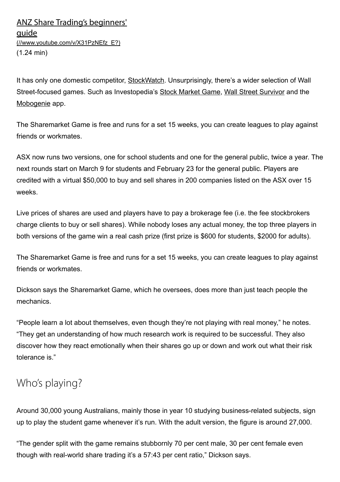It has only one domestic competitor, [StockWatch](http://stockwatch.com.au/). Unsurprisingly, there's a wider selection of Wall Street-focused games. Such as Investopedia's Stock [Market](http://www.investopedia.com/simulator/#ixzz4S6q0tPxM) Game, Wall Street [Survivor](http://www.wallstreetsurvivor.com/) and the [Mobogenie](http://www.mobogenie.com/download-beat-wall-street-1709270.html) app.

The Sharemarket Game is free and runs for a set 15 weeks, you can create leagues to play against friends or workmates.

ASX now runs two versions, one for school students and one for the general public, twice a year. The next rounds start on March 9 for students and February 23 for the general public. Players are credited with a virtual \$50,000 to buy and sell shares in 200 companies listed on the ASX over 15 weeks.

Live prices of shares are used and players have to pay a brokerage fee (i.e. the fee stockbrokers charge clients to buy or sell shares). While nobody loses any actual money, the top three players in both versions of the game win a real cash prize (first prize is \$600 for students, \$2000 for adults).

The Sharemarket Game is free and runs for a set 15 weeks, you can create leagues to play against friends or workmates.

Dickson says the Sharemarket Game, which he oversees, does more than just teach people the mechanics.

"People learn a lot about themselves, even though they're not playing with real money," he notes. "They get an understanding of how much research work is required to be successful. They also discover how they react emotionally when their shares go up or down and work out what their risk tolerance is."

## Who's playing?

Around 30,000 young Australians, mainly those in year 10 studying business-related subjects, sign up to play the student game whenever it's run. With the adult version, the figure is around 27,000.

"The gender split with the game remains stubbornly 70 per cent male, 30 per cent female even though with real-world share trading it's a 57:43 per cent ratio," Dickson says.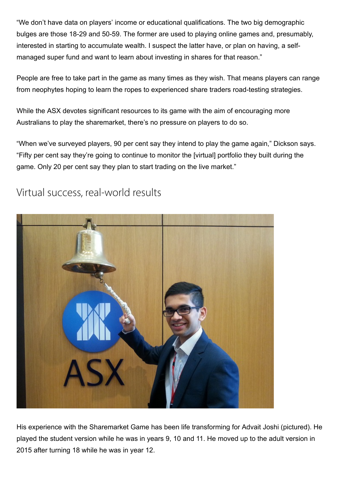"We don't have data on players' income or educational qualifications. The two big demographic bulges are those 18-29 and 50-59. The former are used to playing online games and, presumably, interested in starting to accumulate wealth. I suspect the latter have, or plan on having, a selfmanaged super fund and want to learn about investing in shares for that reason."

People are free to take part in the game as many times as they wish. That means players can range from neophytes hoping to learn the ropes to experienced share traders road-testing strategies.

While the ASX devotes significant resources to its game with the aim of encouraging more Australians to play the sharemarket, there's no pressure on players to do so.

"When we've surveyed players, 90 per cent say they intend to play the game again," Dickson says. "Fifty per cent say they're going to continue to monitor the [virtual] portfolio they built during the game. Only 20 per cent say they plan to start trading on the live market."



#### Virtual success, real-world results

His experience with the Sharemarket Game has been life transforming for Advait Joshi (pictured). He played the student version while he was in years 9, 10 and 11. He moved up to the adult version in 2015 after turning 18 while he was in year 12.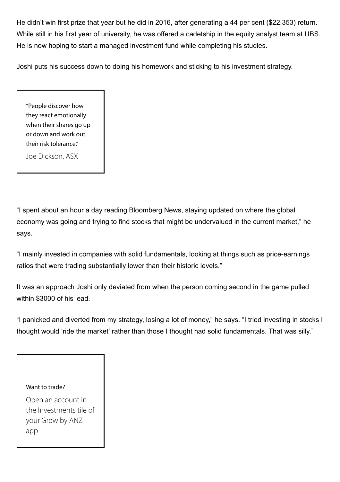He didn't win first prize that year but he did in 2016, after generating a 44 per cent (\$22,353) return. While still in his first year of university, he was offered a cadetship in the equity analyst team at UBS. He is now hoping to start a managed investment fund while completing his studies.

Joshi puts his success down to doing his homework and sticking to his investment strategy.

"People discover how they react emotionally when their shares go up or down and work out their risk tolerance."

Joe Dickson, ASX

"I spent about an hour a day reading Bloomberg News, staying updated on where the global economy was going and trying to find stocks that might be undervalued in the current market," he says.

"I mainly invested in companies with solid fundamentals, looking at things such as price-earnings ratios that were trading substantially lower than their historic levels."

It was an approach Joshi only deviated from when the person coming second in the game pulled within \$3000 of his lead.

"I panicked and diverted from my strategy, losing a lot of money," he says. "I tried investing in stocks I thought would 'ride the market' rather than those I thought had solid fundamentals. That was silly."

#### Want to trade?

Open an account in the Investments tile of your Grow by ANZ app